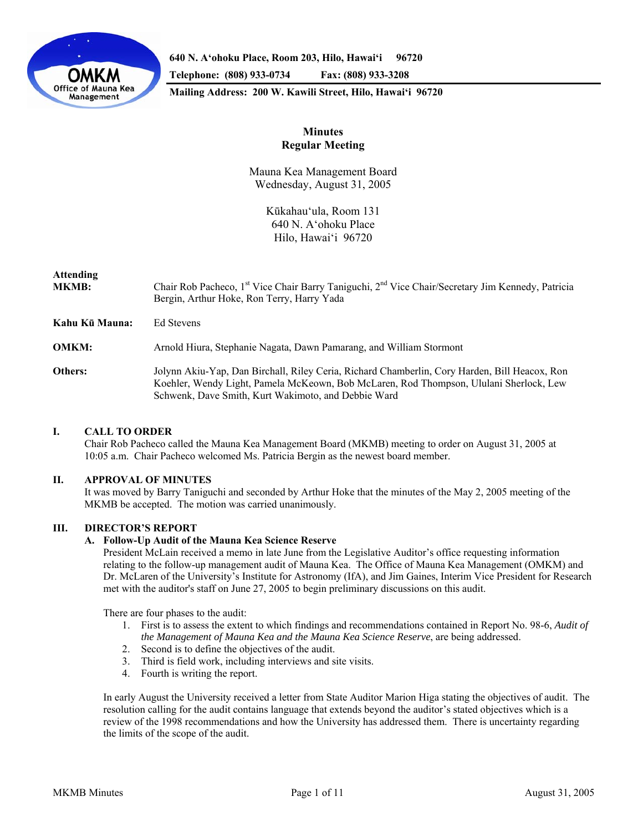

**640 N. A'ohoku Place, Room 203, Hilo, Hawai'i 96720 Telephone: (808) 933-0734 Fax: (808) 933-3208 Mailing Address: 200 W. Kawili Street, Hilo, Hawai'i 96720** 

# **Minutes Regular Meeting**

Mauna Kea Management Board Wednesday, August 31, 2005

> Kūkahau'ula, Room 131 640 N. A'ohoku Place Hilo, Hawai'i 96720

# **Attending**

| MKMB:          | Chair Rob Pacheco, 1 <sup>st</sup> Vice Chair Barry Taniguchi, 2 <sup>nd</sup> Vice Chair/Secretary Jim Kennedy, Patricia<br>Bergin, Arthur Hoke, Ron Terry, Harry Yada                                                                        |
|----------------|------------------------------------------------------------------------------------------------------------------------------------------------------------------------------------------------------------------------------------------------|
| Kahu Kū Mauna: | Ed Stevens                                                                                                                                                                                                                                     |
| OMKM:          | Arnold Hiura, Stephanie Nagata, Dawn Pamarang, and William Stormont                                                                                                                                                                            |
| Others:        | Jolynn Akiu-Yap, Dan Birchall, Riley Ceria, Richard Chamberlin, Cory Harden, Bill Heacox, Ron<br>Koehler, Wendy Light, Pamela McKeown, Bob McLaren, Rod Thompson, Ululani Sherlock, Lew<br>Schwenk, Dave Smith, Kurt Wakimoto, and Debbie Ward |

# **I. CALL TO ORDER**

 Chair Rob Pacheco called the Mauna Kea Management Board (MKMB) meeting to order on August 31, 2005 at 10:05 a.m. Chair Pacheco welcomed Ms. Patricia Bergin as the newest board member.

# **II. APPROVAL OF MINUTES**

 It was moved by Barry Taniguchi and seconded by Arthur Hoke that the minutes of the May 2, 2005 meeting of the MKMB be accepted. The motion was carried unanimously.

# **III. DIRECTOR'S REPORT**

# **A. Follow-Up Audit of the Mauna Kea Science Reserve**

President McLain received a memo in late June from the Legislative Auditor's office requesting information relating to the follow-up management audit of Mauna Kea. The Office of Mauna Kea Management (OMKM) and Dr. McLaren of the University's Institute for Astronomy (IfA), and Jim Gaines, Interim Vice President for Research met with the auditor's staff on June 27, 2005 to begin preliminary discussions on this audit.

There are four phases to the audit:

- 1. First is to assess the extent to which findings and recommendations contained in Report No. 98-6, *Audit of the Management of Mauna Kea and the Mauna Kea Science Reserve*, are being addressed.
- 2. Second is to define the objectives of the audit.
- 3. Third is field work, including interviews and site visits.
- 4. Fourth is writing the report.

In early August the University received a letter from State Auditor Marion Higa stating the objectives of audit. The resolution calling for the audit contains language that extends beyond the auditor's stated objectives which is a review of the 1998 recommendations and how the University has addressed them. There is uncertainty regarding the limits of the scope of the audit.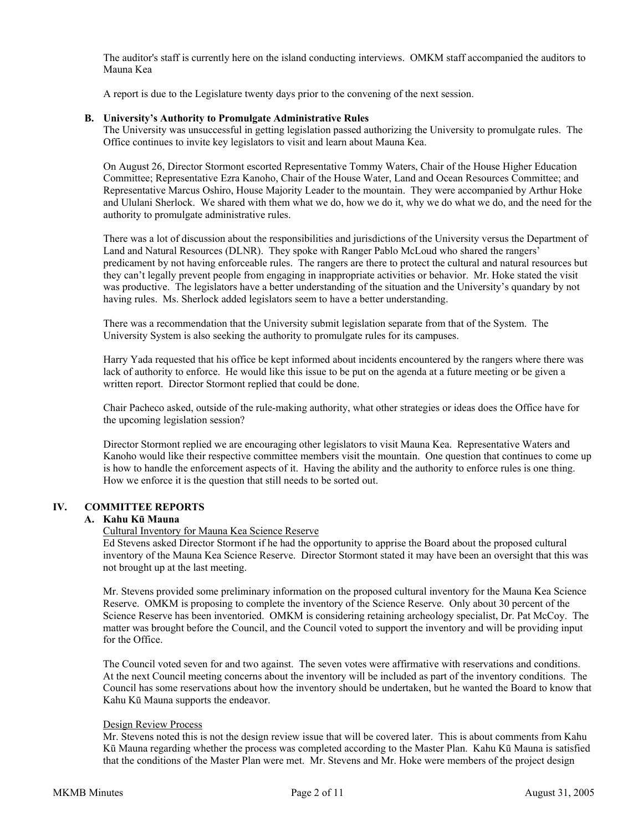The auditor's staff is currently here on the island conducting interviews. OMKM staff accompanied the auditors to Mauna Kea

A report is due to the Legislature twenty days prior to the convening of the next session.

### **B. University's Authority to Promulgate Administrative Rules**

The University was unsuccessful in getting legislation passed authorizing the University to promulgate rules. The Office continues to invite key legislators to visit and learn about Mauna Kea.

On August 26, Director Stormont escorted Representative Tommy Waters, Chair of the House Higher Education Committee; Representative Ezra Kanoho, Chair of the House Water, Land and Ocean Resources Committee; and Representative Marcus Oshiro, House Majority Leader to the mountain. They were accompanied by Arthur Hoke and Ululani Sherlock. We shared with them what we do, how we do it, why we do what we do, and the need for the authority to promulgate administrative rules.

There was a lot of discussion about the responsibilities and jurisdictions of the University versus the Department of Land and Natural Resources (DLNR). They spoke with Ranger Pablo McLoud who shared the rangers' predicament by not having enforceable rules. The rangers are there to protect the cultural and natural resources but they can't legally prevent people from engaging in inappropriate activities or behavior. Mr. Hoke stated the visit was productive. The legislators have a better understanding of the situation and the University's quandary by not having rules. Ms. Sherlock added legislators seem to have a better understanding.

There was a recommendation that the University submit legislation separate from that of the System. The University System is also seeking the authority to promulgate rules for its campuses.

Harry Yada requested that his office be kept informed about incidents encountered by the rangers where there was lack of authority to enforce. He would like this issue to be put on the agenda at a future meeting or be given a written report. Director Stormont replied that could be done.

Chair Pacheco asked, outside of the rule-making authority, what other strategies or ideas does the Office have for the upcoming legislation session?

Director Stormont replied we are encouraging other legislators to visit Mauna Kea. Representative Waters and Kanoho would like their respective committee members visit the mountain. One question that continues to come up is how to handle the enforcement aspects of it. Having the ability and the authority to enforce rules is one thing. How we enforce it is the question that still needs to be sorted out.

### **IV. COMMITTEE REPORTS**

# **A. Kahu Kū Mauna**

Cultural Inventory for Mauna Kea Science Reserve

Ed Stevens asked Director Stormont if he had the opportunity to apprise the Board about the proposed cultural inventory of the Mauna Kea Science Reserve. Director Stormont stated it may have been an oversight that this was not brought up at the last meeting.

Mr. Stevens provided some preliminary information on the proposed cultural inventory for the Mauna Kea Science Reserve. OMKM is proposing to complete the inventory of the Science Reserve. Only about 30 percent of the Science Reserve has been inventoried. OMKM is considering retaining archeology specialist, Dr. Pat McCoy. The matter was brought before the Council, and the Council voted to support the inventory and will be providing input for the Office.

The Council voted seven for and two against. The seven votes were affirmative with reservations and conditions. At the next Council meeting concerns about the inventory will be included as part of the inventory conditions. The Council has some reservations about how the inventory should be undertaken, but he wanted the Board to know that Kahu Kū Mauna supports the endeavor.

### Design Review Process

Mr. Stevens noted this is not the design review issue that will be covered later. This is about comments from Kahu Kū Mauna regarding whether the process was completed according to the Master Plan. Kahu Kū Mauna is satisfied that the conditions of the Master Plan were met. Mr. Stevens and Mr. Hoke were members of the project design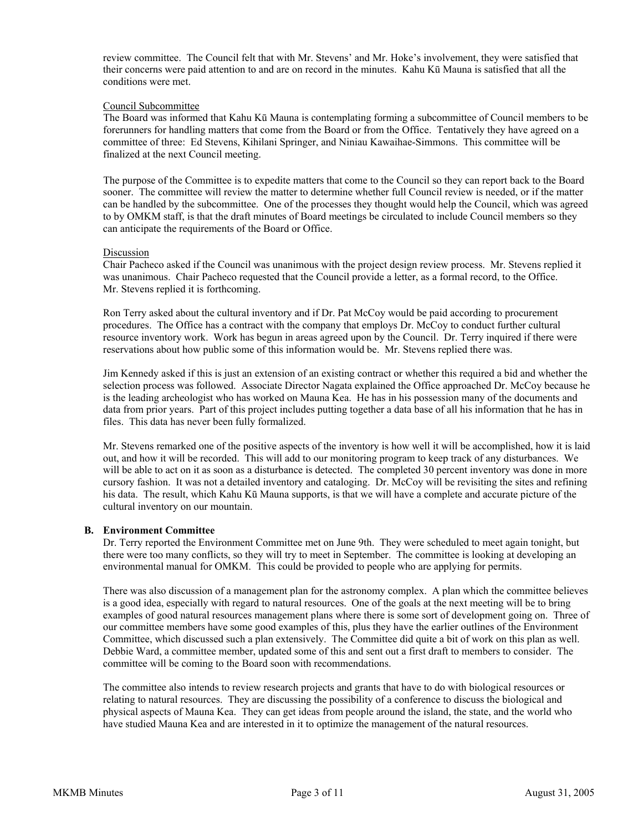review committee. The Council felt that with Mr. Stevens' and Mr. Hoke's involvement, they were satisfied that their concerns were paid attention to and are on record in the minutes. Kahu Kū Mauna is satisfied that all the conditions were met.

### Council Subcommittee

The Board was informed that Kahu Kū Mauna is contemplating forming a subcommittee of Council members to be forerunners for handling matters that come from the Board or from the Office. Tentatively they have agreed on a committee of three: Ed Stevens, Kihilani Springer, and Niniau Kawaihae-Simmons. This committee will be finalized at the next Council meeting.

The purpose of the Committee is to expedite matters that come to the Council so they can report back to the Board sooner. The committee will review the matter to determine whether full Council review is needed, or if the matter can be handled by the subcommittee. One of the processes they thought would help the Council, which was agreed to by OMKM staff, is that the draft minutes of Board meetings be circulated to include Council members so they can anticipate the requirements of the Board or Office.

### Discussion

Chair Pacheco asked if the Council was unanimous with the project design review process. Mr. Stevens replied it was unanimous. Chair Pacheco requested that the Council provide a letter, as a formal record, to the Office. Mr. Stevens replied it is forthcoming.

Ron Terry asked about the cultural inventory and if Dr. Pat McCoy would be paid according to procurement procedures. The Office has a contract with the company that employs Dr. McCoy to conduct further cultural resource inventory work. Work has begun in areas agreed upon by the Council. Dr. Terry inquired if there were reservations about how public some of this information would be. Mr. Stevens replied there was.

Jim Kennedy asked if this is just an extension of an existing contract or whether this required a bid and whether the selection process was followed. Associate Director Nagata explained the Office approached Dr. McCoy because he is the leading archeologist who has worked on Mauna Kea. He has in his possession many of the documents and data from prior years. Part of this project includes putting together a data base of all his information that he has in files. This data has never been fully formalized.

Mr. Stevens remarked one of the positive aspects of the inventory is how well it will be accomplished, how it is laid out, and how it will be recorded. This will add to our monitoring program to keep track of any disturbances. We will be able to act on it as soon as a disturbance is detected. The completed 30 percent inventory was done in more cursory fashion. It was not a detailed inventory and cataloging. Dr. McCoy will be revisiting the sites and refining his data. The result, which Kahu Kū Mauna supports, is that we will have a complete and accurate picture of the cultural inventory on our mountain.

### **B. Environment Committee**

Dr. Terry reported the Environment Committee met on June 9th. They were scheduled to meet again tonight, but there were too many conflicts, so they will try to meet in September. The committee is looking at developing an environmental manual for OMKM. This could be provided to people who are applying for permits.

There was also discussion of a management plan for the astronomy complex. A plan which the committee believes is a good idea, especially with regard to natural resources. One of the goals at the next meeting will be to bring examples of good natural resources management plans where there is some sort of development going on. Three of our committee members have some good examples of this, plus they have the earlier outlines of the Environment Committee, which discussed such a plan extensively. The Committee did quite a bit of work on this plan as well. Debbie Ward, a committee member, updated some of this and sent out a first draft to members to consider. The committee will be coming to the Board soon with recommendations.

The committee also intends to review research projects and grants that have to do with biological resources or relating to natural resources. They are discussing the possibility of a conference to discuss the biological and physical aspects of Mauna Kea. They can get ideas from people around the island, the state, and the world who have studied Mauna Kea and are interested in it to optimize the management of the natural resources.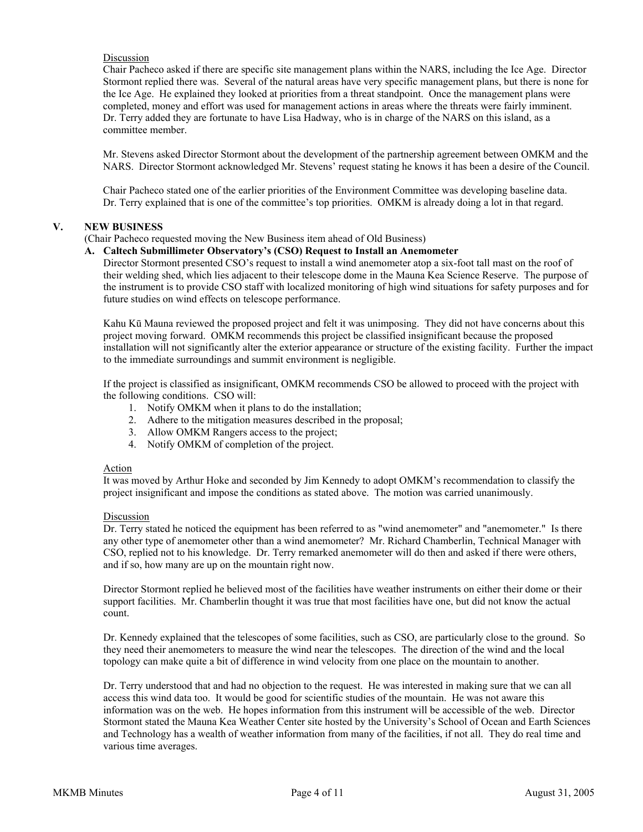# Discussion

Chair Pacheco asked if there are specific site management plans within the NARS, including the Ice Age. Director Stormont replied there was. Several of the natural areas have very specific management plans, but there is none for the Ice Age. He explained they looked at priorities from a threat standpoint. Once the management plans were completed, money and effort was used for management actions in areas where the threats were fairly imminent. Dr. Terry added they are fortunate to have Lisa Hadway, who is in charge of the NARS on this island, as a committee member.

Mr. Stevens asked Director Stormont about the development of the partnership agreement between OMKM and the NARS. Director Stormont acknowledged Mr. Stevens' request stating he knows it has been a desire of the Council.

Chair Pacheco stated one of the earlier priorities of the Environment Committee was developing baseline data. Dr. Terry explained that is one of the committee's top priorities. OMKM is already doing a lot in that regard.

### **V. NEW BUSINESS**

### (Chair Pacheco requested moving the New Business item ahead of Old Business)

### **A. Caltech Submillimeter Observatory's (CSO) Request to Install an Anemometer**

Director Stormont presented CSO's request to install a wind anemometer atop a six-foot tall mast on the roof of their welding shed, which lies adjacent to their telescope dome in the Mauna Kea Science Reserve. The purpose of the instrument is to provide CSO staff with localized monitoring of high wind situations for safety purposes and for future studies on wind effects on telescope performance.

Kahu Kū Mauna reviewed the proposed project and felt it was unimposing. They did not have concerns about this project moving forward. OMKM recommends this project be classified insignificant because the proposed installation will not significantly alter the exterior appearance or structure of the existing facility. Further the impact to the immediate surroundings and summit environment is negligible.

If the project is classified as insignificant, OMKM recommends CSO be allowed to proceed with the project with the following conditions. CSO will:

- 1. Notify OMKM when it plans to do the installation;
- 2. Adhere to the mitigation measures described in the proposal;
- 3. Allow OMKM Rangers access to the project;
- 4. Notify OMKM of completion of the project.

### Action

It was moved by Arthur Hoke and seconded by Jim Kennedy to adopt OMKM's recommendation to classify the project insignificant and impose the conditions as stated above. The motion was carried unanimously.

### Discussion

Dr. Terry stated he noticed the equipment has been referred to as "wind anemometer" and "anemometer." Is there any other type of anemometer other than a wind anemometer? Mr. Richard Chamberlin, Technical Manager with CSO, replied not to his knowledge. Dr. Terry remarked anemometer will do then and asked if there were others, and if so, how many are up on the mountain right now.

Director Stormont replied he believed most of the facilities have weather instruments on either their dome or their support facilities. Mr. Chamberlin thought it was true that most facilities have one, but did not know the actual count.

Dr. Kennedy explained that the telescopes of some facilities, such as CSO, are particularly close to the ground. So they need their anemometers to measure the wind near the telescopes. The direction of the wind and the local topology can make quite a bit of difference in wind velocity from one place on the mountain to another.

Dr. Terry understood that and had no objection to the request. He was interested in making sure that we can all access this wind data too. It would be good for scientific studies of the mountain. He was not aware this information was on the web. He hopes information from this instrument will be accessible of the web. Director Stormont stated the Mauna Kea Weather Center site hosted by the University's School of Ocean and Earth Sciences and Technology has a wealth of weather information from many of the facilities, if not all. They do real time and various time averages.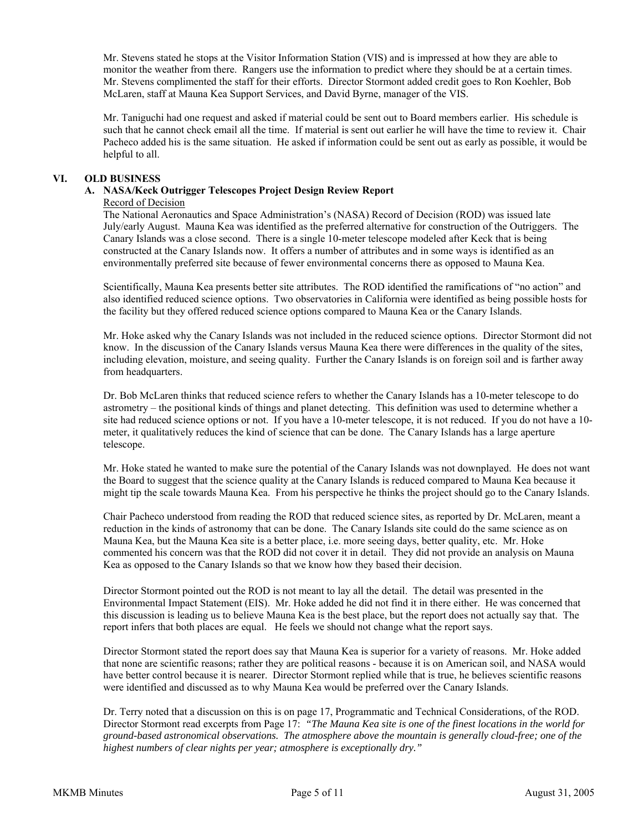Mr. Stevens stated he stops at the Visitor Information Station (VIS) and is impressed at how they are able to monitor the weather from there. Rangers use the information to predict where they should be at a certain times. Mr. Stevens complimented the staff for their efforts. Director Stormont added credit goes to Ron Koehler, Bob McLaren, staff at Mauna Kea Support Services, and David Byrne, manager of the VIS.

Mr. Taniguchi had one request and asked if material could be sent out to Board members earlier. His schedule is such that he cannot check email all the time. If material is sent out earlier he will have the time to review it. Chair Pacheco added his is the same situation. He asked if information could be sent out as early as possible, it would be helpful to all.

### **VI. OLD BUSINESS**

# **A. NASA/Keck Outrigger Telescopes Project Design Review Report**

# Record of Decision

The National Aeronautics and Space Administration's (NASA) Record of Decision (ROD) was issued late July/early August. Mauna Kea was identified as the preferred alternative for construction of the Outriggers. The Canary Islands was a close second. There is a single 10-meter telescope modeled after Keck that is being constructed at the Canary Islands now. It offers a number of attributes and in some ways is identified as an environmentally preferred site because of fewer environmental concerns there as opposed to Mauna Kea.

Scientifically, Mauna Kea presents better site attributes. The ROD identified the ramifications of "no action" and also identified reduced science options. Two observatories in California were identified as being possible hosts for the facility but they offered reduced science options compared to Mauna Kea or the Canary Islands.

Mr. Hoke asked why the Canary Islands was not included in the reduced science options. Director Stormont did not know. In the discussion of the Canary Islands versus Mauna Kea there were differences in the quality of the sites, including elevation, moisture, and seeing quality. Further the Canary Islands is on foreign soil and is farther away from headquarters.

Dr. Bob McLaren thinks that reduced science refers to whether the Canary Islands has a 10-meter telescope to do astrometry – the positional kinds of things and planet detecting. This definition was used to determine whether a site had reduced science options or not. If you have a 10-meter telescope, it is not reduced. If you do not have a 10 meter, it qualitatively reduces the kind of science that can be done. The Canary Islands has a large aperture telescope.

Mr. Hoke stated he wanted to make sure the potential of the Canary Islands was not downplayed. He does not want the Board to suggest that the science quality at the Canary Islands is reduced compared to Mauna Kea because it might tip the scale towards Mauna Kea. From his perspective he thinks the project should go to the Canary Islands.

Chair Pacheco understood from reading the ROD that reduced science sites, as reported by Dr. McLaren, meant a reduction in the kinds of astronomy that can be done. The Canary Islands site could do the same science as on Mauna Kea, but the Mauna Kea site is a better place, i.e. more seeing days, better quality, etc. Mr. Hoke commented his concern was that the ROD did not cover it in detail. They did not provide an analysis on Mauna Kea as opposed to the Canary Islands so that we know how they based their decision.

Director Stormont pointed out the ROD is not meant to lay all the detail. The detail was presented in the Environmental Impact Statement (EIS). Mr. Hoke added he did not find it in there either. He was concerned that this discussion is leading us to believe Mauna Kea is the best place, but the report does not actually say that. The report infers that both places are equal. He feels we should not change what the report says.

Director Stormont stated the report does say that Mauna Kea is superior for a variety of reasons. Mr. Hoke added that none are scientific reasons; rather they are political reasons - because it is on American soil, and NASA would have better control because it is nearer. Director Stormont replied while that is true, he believes scientific reasons were identified and discussed as to why Mauna Kea would be preferred over the Canary Islands.

Dr. Terry noted that a discussion on this is on page 17, Programmatic and Technical Considerations, of the ROD. Director Stormont read excerpts from Page 17: *"The Mauna Kea site is one of the finest locations in the world for ground-based astronomical observations. The atmosphere above the mountain is generally cloud-free; one of the highest numbers of clear nights per year; atmosphere is exceptionally dry."*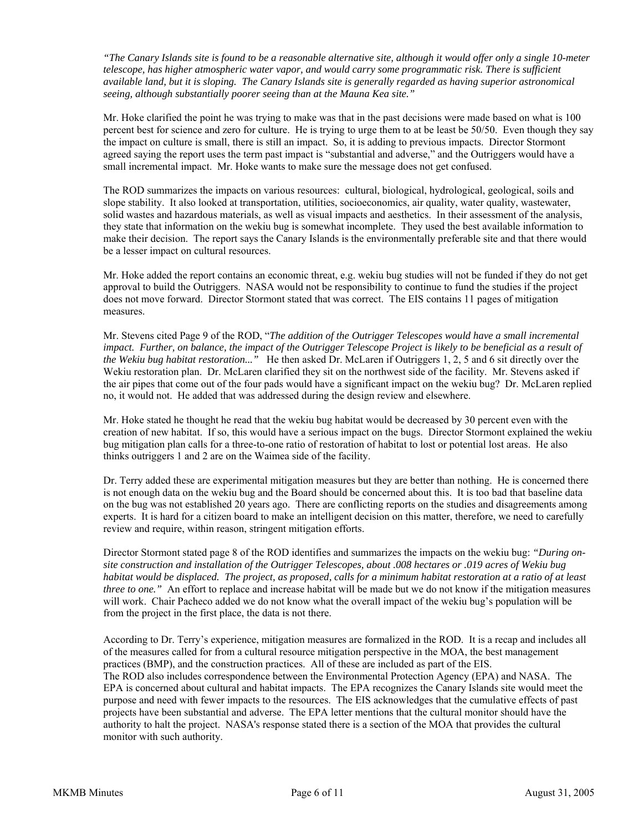*"The Canary Islands site is found to be a reasonable alternative site, although it would offer only a single 10-meter telescope, has higher atmospheric water vapor, and would carry some programmatic risk. There is sufficient available land, but it is sloping. The Canary Islands site is generally regarded as having superior astronomical seeing, although substantially poorer seeing than at the Mauna Kea site."* 

Mr. Hoke clarified the point he was trying to make was that in the past decisions were made based on what is 100 percent best for science and zero for culture. He is trying to urge them to at be least be 50/50. Even though they say the impact on culture is small, there is still an impact. So, it is adding to previous impacts. Director Stormont agreed saying the report uses the term past impact is "substantial and adverse," and the Outriggers would have a small incremental impact. Mr. Hoke wants to make sure the message does not get confused.

The ROD summarizes the impacts on various resources: cultural, biological, hydrological, geological, soils and slope stability. It also looked at transportation, utilities, socioeconomics, air quality, water quality, wastewater, solid wastes and hazardous materials, as well as visual impacts and aesthetics. In their assessment of the analysis, they state that information on the wekiu bug is somewhat incomplete. They used the best available information to make their decision. The report says the Canary Islands is the environmentally preferable site and that there would be a lesser impact on cultural resources.

Mr. Hoke added the report contains an economic threat, e.g. wekiu bug studies will not be funded if they do not get approval to build the Outriggers. NASA would not be responsibility to continue to fund the studies if the project does not move forward. Director Stormont stated that was correct. The EIS contains 11 pages of mitigation measures.

Mr. Stevens cited Page 9 of the ROD, "*The addition of the Outrigger Telescopes would have a small incremental impact. Further, on balance, the impact of the Outrigger Telescope Project is likely to be beneficial as a result of the Wekiu bug habitat restoration..."* He then asked Dr. McLaren if Outriggers 1, 2, 5 and 6 sit directly over the Wekiu restoration plan. Dr. McLaren clarified they sit on the northwest side of the facility. Mr. Stevens asked if the air pipes that come out of the four pads would have a significant impact on the wekiu bug? Dr. McLaren replied no, it would not. He added that was addressed during the design review and elsewhere.

Mr. Hoke stated he thought he read that the wekiu bug habitat would be decreased by 30 percent even with the creation of new habitat. If so, this would have a serious impact on the bugs. Director Stormont explained the wekiu bug mitigation plan calls for a three-to-one ratio of restoration of habitat to lost or potential lost areas. He also thinks outriggers 1 and 2 are on the Waimea side of the facility.

Dr. Terry added these are experimental mitigation measures but they are better than nothing. He is concerned there is not enough data on the wekiu bug and the Board should be concerned about this. It is too bad that baseline data on the bug was not established 20 years ago. There are conflicting reports on the studies and disagreements among experts. It is hard for a citizen board to make an intelligent decision on this matter, therefore, we need to carefully review and require, within reason, stringent mitigation efforts.

Director Stormont stated page 8 of the ROD identifies and summarizes the impacts on the wekiu bug: *"During onsite construction and installation of the Outrigger Telescopes, about .008 hectares or .019 acres of Wekiu bug habitat would be displaced. The project, as proposed, calls for a minimum habitat restoration at a ratio of at least three to one."* An effort to replace and increase habitat will be made but we do not know if the mitigation measures will work. Chair Pacheco added we do not know what the overall impact of the wekiu bug's population will be from the project in the first place, the data is not there.

According to Dr. Terry's experience, mitigation measures are formalized in the ROD. It is a recap and includes all of the measures called for from a cultural resource mitigation perspective in the MOA, the best management practices (BMP), and the construction practices. All of these are included as part of the EIS. The ROD also includes correspondence between the Environmental Protection Agency (EPA) and NASA. The EPA is concerned about cultural and habitat impacts. The EPA recognizes the Canary Islands site would meet the purpose and need with fewer impacts to the resources. The EIS acknowledges that the cumulative effects of past projects have been substantial and adverse. The EPA letter mentions that the cultural monitor should have the authority to halt the project. NASA's response stated there is a section of the MOA that provides the cultural monitor with such authority.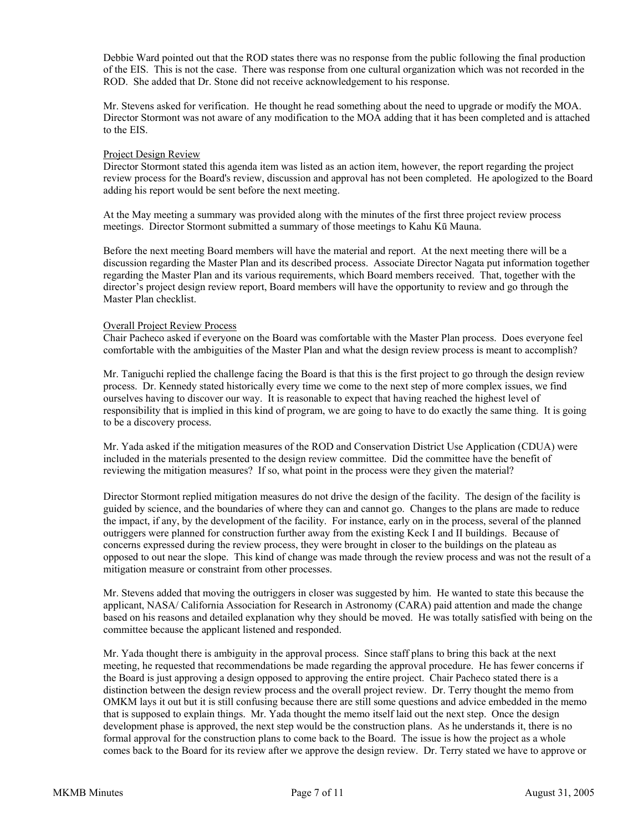Debbie Ward pointed out that the ROD states there was no response from the public following the final production of the EIS. This is not the case. There was response from one cultural organization which was not recorded in the ROD. She added that Dr. Stone did not receive acknowledgement to his response.

Mr. Stevens asked for verification. He thought he read something about the need to upgrade or modify the MOA. Director Stormont was not aware of any modification to the MOA adding that it has been completed and is attached to the EIS.

### Project Design Review

Director Stormont stated this agenda item was listed as an action item, however, the report regarding the project review process for the Board's review, discussion and approval has not been completed. He apologized to the Board adding his report would be sent before the next meeting.

At the May meeting a summary was provided along with the minutes of the first three project review process meetings. Director Stormont submitted a summary of those meetings to Kahu Kū Mauna.

Before the next meeting Board members will have the material and report. At the next meeting there will be a discussion regarding the Master Plan and its described process. Associate Director Nagata put information together regarding the Master Plan and its various requirements, which Board members received. That, together with the director's project design review report, Board members will have the opportunity to review and go through the Master Plan checklist.

# Overall Project Review Process

Chair Pacheco asked if everyone on the Board was comfortable with the Master Plan process. Does everyone feel comfortable with the ambiguities of the Master Plan and what the design review process is meant to accomplish?

Mr. Taniguchi replied the challenge facing the Board is that this is the first project to go through the design review process. Dr. Kennedy stated historically every time we come to the next step of more complex issues, we find ourselves having to discover our way. It is reasonable to expect that having reached the highest level of responsibility that is implied in this kind of program, we are going to have to do exactly the same thing. It is going to be a discovery process.

Mr. Yada asked if the mitigation measures of the ROD and Conservation District Use Application (CDUA) were included in the materials presented to the design review committee. Did the committee have the benefit of reviewing the mitigation measures? If so, what point in the process were they given the material?

Director Stormont replied mitigation measures do not drive the design of the facility. The design of the facility is guided by science, and the boundaries of where they can and cannot go. Changes to the plans are made to reduce the impact, if any, by the development of the facility. For instance, early on in the process, several of the planned outriggers were planned for construction further away from the existing Keck I and II buildings. Because of concerns expressed during the review process, they were brought in closer to the buildings on the plateau as opposed to out near the slope. This kind of change was made through the review process and was not the result of a mitigation measure or constraint from other processes.

Mr. Stevens added that moving the outriggers in closer was suggested by him. He wanted to state this because the applicant, NASA/ California Association for Research in Astronomy (CARA) paid attention and made the change based on his reasons and detailed explanation why they should be moved. He was totally satisfied with being on the committee because the applicant listened and responded.

Mr. Yada thought there is ambiguity in the approval process. Since staff plans to bring this back at the next meeting, he requested that recommendations be made regarding the approval procedure. He has fewer concerns if the Board is just approving a design opposed to approving the entire project. Chair Pacheco stated there is a distinction between the design review process and the overall project review. Dr. Terry thought the memo from OMKM lays it out but it is still confusing because there are still some questions and advice embedded in the memo that is supposed to explain things. Mr. Yada thought the memo itself laid out the next step. Once the design development phase is approved, the next step would be the construction plans. As he understands it, there is no formal approval for the construction plans to come back to the Board. The issue is how the project as a whole comes back to the Board for its review after we approve the design review. Dr. Terry stated we have to approve or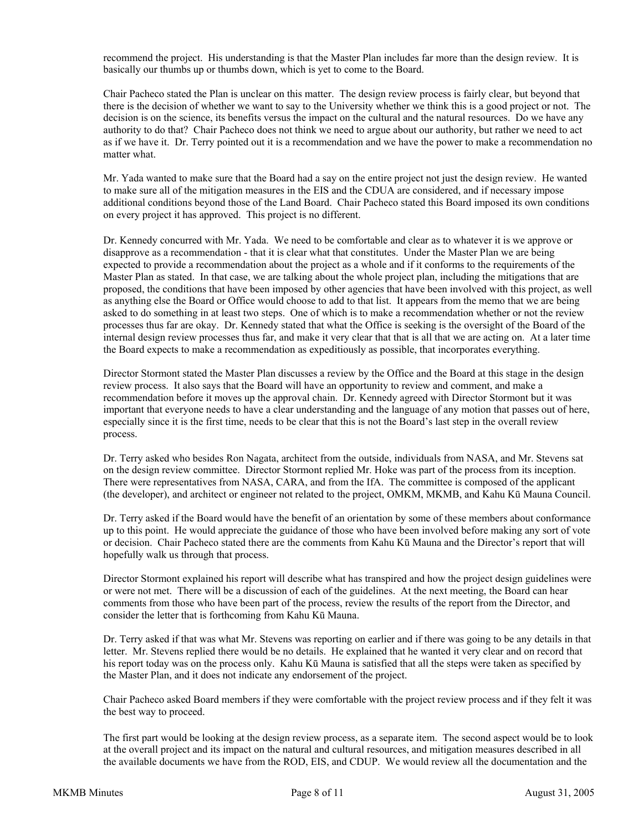recommend the project. His understanding is that the Master Plan includes far more than the design review. It is basically our thumbs up or thumbs down, which is yet to come to the Board.

Chair Pacheco stated the Plan is unclear on this matter. The design review process is fairly clear, but beyond that there is the decision of whether we want to say to the University whether we think this is a good project or not. The decision is on the science, its benefits versus the impact on the cultural and the natural resources. Do we have any authority to do that? Chair Pacheco does not think we need to argue about our authority, but rather we need to act as if we have it. Dr. Terry pointed out it is a recommendation and we have the power to make a recommendation no matter what.

Mr. Yada wanted to make sure that the Board had a say on the entire project not just the design review. He wanted to make sure all of the mitigation measures in the EIS and the CDUA are considered, and if necessary impose additional conditions beyond those of the Land Board. Chair Pacheco stated this Board imposed its own conditions on every project it has approved. This project is no different.

Dr. Kennedy concurred with Mr. Yada. We need to be comfortable and clear as to whatever it is we approve or disapprove as a recommendation - that it is clear what that constitutes. Under the Master Plan we are being expected to provide a recommendation about the project as a whole and if it conforms to the requirements of the Master Plan as stated. In that case, we are talking about the whole project plan, including the mitigations that are proposed, the conditions that have been imposed by other agencies that have been involved with this project, as well as anything else the Board or Office would choose to add to that list. It appears from the memo that we are being asked to do something in at least two steps. One of which is to make a recommendation whether or not the review processes thus far are okay. Dr. Kennedy stated that what the Office is seeking is the oversight of the Board of the internal design review processes thus far, and make it very clear that that is all that we are acting on. At a later time the Board expects to make a recommendation as expeditiously as possible, that incorporates everything.

Director Stormont stated the Master Plan discusses a review by the Office and the Board at this stage in the design review process. It also says that the Board will have an opportunity to review and comment, and make a recommendation before it moves up the approval chain. Dr. Kennedy agreed with Director Stormont but it was important that everyone needs to have a clear understanding and the language of any motion that passes out of here, especially since it is the first time, needs to be clear that this is not the Board's last step in the overall review process.

Dr. Terry asked who besides Ron Nagata, architect from the outside, individuals from NASA, and Mr. Stevens sat on the design review committee. Director Stormont replied Mr. Hoke was part of the process from its inception. There were representatives from NASA, CARA, and from the IfA. The committee is composed of the applicant (the developer), and architect or engineer not related to the project, OMKM, MKMB, and Kahu Kū Mauna Council.

Dr. Terry asked if the Board would have the benefit of an orientation by some of these members about conformance up to this point. He would appreciate the guidance of those who have been involved before making any sort of vote or decision. Chair Pacheco stated there are the comments from Kahu Kū Mauna and the Director's report that will hopefully walk us through that process.

Director Stormont explained his report will describe what has transpired and how the project design guidelines were or were not met. There will be a discussion of each of the guidelines. At the next meeting, the Board can hear comments from those who have been part of the process, review the results of the report from the Director, and consider the letter that is forthcoming from Kahu Kū Mauna.

Dr. Terry asked if that was what Mr. Stevens was reporting on earlier and if there was going to be any details in that letter. Mr. Stevens replied there would be no details. He explained that he wanted it very clear and on record that his report today was on the process only. Kahu Kū Mauna is satisfied that all the steps were taken as specified by the Master Plan, and it does not indicate any endorsement of the project.

Chair Pacheco asked Board members if they were comfortable with the project review process and if they felt it was the best way to proceed.

The first part would be looking at the design review process, as a separate item. The second aspect would be to look at the overall project and its impact on the natural and cultural resources, and mitigation measures described in all the available documents we have from the ROD, EIS, and CDUP. We would review all the documentation and the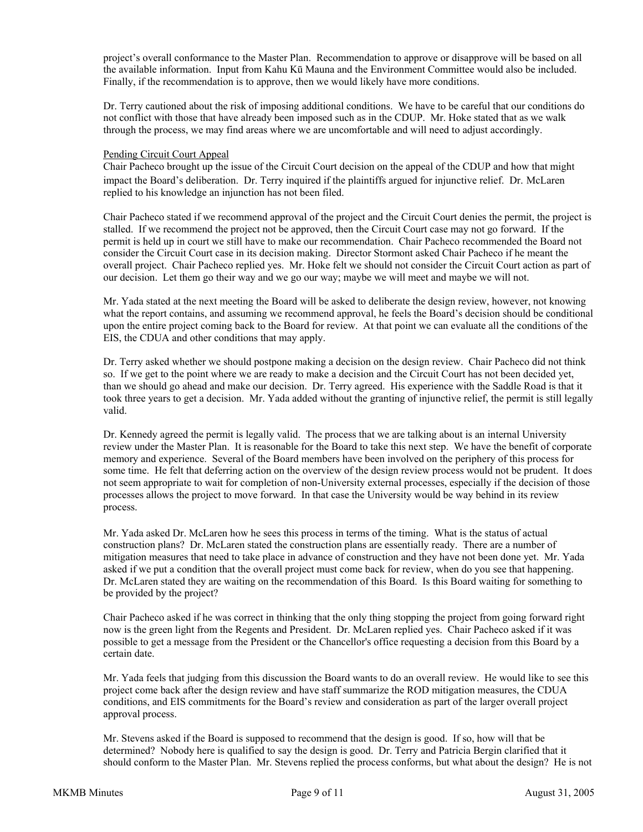project's overall conformance to the Master Plan. Recommendation to approve or disapprove will be based on all the available information. Input from Kahu Kū Mauna and the Environment Committee would also be included. Finally, if the recommendation is to approve, then we would likely have more conditions.

Dr. Terry cautioned about the risk of imposing additional conditions. We have to be careful that our conditions do not conflict with those that have already been imposed such as in the CDUP. Mr. Hoke stated that as we walk through the process, we may find areas where we are uncomfortable and will need to adjust accordingly.

### Pending Circuit Court Appeal

Chair Pacheco brought up the issue of the Circuit Court decision on the appeal of the CDUP and how that might impact the Board's deliberation. Dr. Terry inquired if the plaintiffs argued for injunctive relief. Dr. McLaren replied to his knowledge an injunction has not been filed.

Chair Pacheco stated if we recommend approval of the project and the Circuit Court denies the permit, the project is stalled. If we recommend the project not be approved, then the Circuit Court case may not go forward. If the permit is held up in court we still have to make our recommendation. Chair Pacheco recommended the Board not consider the Circuit Court case in its decision making. Director Stormont asked Chair Pacheco if he meant the overall project. Chair Pacheco replied yes. Mr. Hoke felt we should not consider the Circuit Court action as part of our decision. Let them go their way and we go our way; maybe we will meet and maybe we will not.

Mr. Yada stated at the next meeting the Board will be asked to deliberate the design review, however, not knowing what the report contains, and assuming we recommend approval, he feels the Board's decision should be conditional upon the entire project coming back to the Board for review. At that point we can evaluate all the conditions of the EIS, the CDUA and other conditions that may apply.

Dr. Terry asked whether we should postpone making a decision on the design review. Chair Pacheco did not think so. If we get to the point where we are ready to make a decision and the Circuit Court has not been decided yet, than we should go ahead and make our decision. Dr. Terry agreed. His experience with the Saddle Road is that it took three years to get a decision. Mr. Yada added without the granting of injunctive relief, the permit is still legally valid.

Dr. Kennedy agreed the permit is legally valid. The process that we are talking about is an internal University review under the Master Plan. It is reasonable for the Board to take this next step. We have the benefit of corporate memory and experience. Several of the Board members have been involved on the periphery of this process for some time. He felt that deferring action on the overview of the design review process would not be prudent. It does not seem appropriate to wait for completion of non-University external processes, especially if the decision of those processes allows the project to move forward. In that case the University would be way behind in its review process.

Mr. Yada asked Dr. McLaren how he sees this process in terms of the timing. What is the status of actual construction plans? Dr. McLaren stated the construction plans are essentially ready. There are a number of mitigation measures that need to take place in advance of construction and they have not been done yet. Mr. Yada asked if we put a condition that the overall project must come back for review, when do you see that happening. Dr. McLaren stated they are waiting on the recommendation of this Board. Is this Board waiting for something to be provided by the project?

Chair Pacheco asked if he was correct in thinking that the only thing stopping the project from going forward right now is the green light from the Regents and President. Dr. McLaren replied yes. Chair Pacheco asked if it was possible to get a message from the President or the Chancellor's office requesting a decision from this Board by a certain date.

Mr. Yada feels that judging from this discussion the Board wants to do an overall review. He would like to see this project come back after the design review and have staff summarize the ROD mitigation measures, the CDUA conditions, and EIS commitments for the Board's review and consideration as part of the larger overall project approval process.

Mr. Stevens asked if the Board is supposed to recommend that the design is good. If so, how will that be determined? Nobody here is qualified to say the design is good. Dr. Terry and Patricia Bergin clarified that it should conform to the Master Plan. Mr. Stevens replied the process conforms, but what about the design? He is not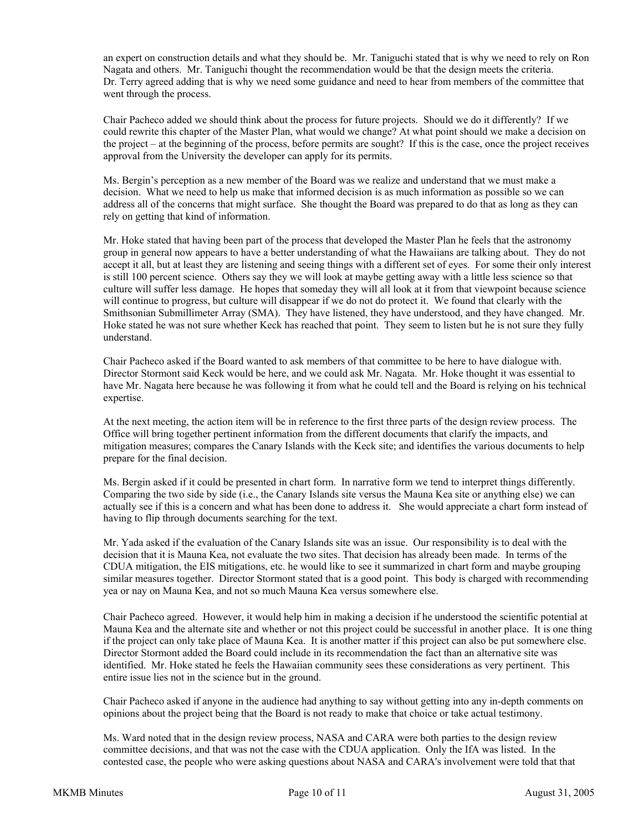an expert on construction details and what they should be. Mr. Taniguchi stated that is why we need to rely on Ron Nagata and others. Mr. Taniguchi thought the recommendation would be that the design meets the criteria. Dr. Terry agreed adding that is why we need some guidance and need to hear from members of the committee that went through the process.

Chair Pacheco added we should think about the process for future projects. Should we do it differently? If we could rewrite this chapter of the Master Plan, what would we change? At what point should we make a decision on the project – at the beginning of the process, before permits are sought? If this is the case, once the project receives approval from the University the developer can apply for its permits.

Ms. Bergin's perception as a new member of the Board was we realize and understand that we must make a decision. What we need to help us make that informed decision is as much information as possible so we can address all of the concerns that might surface. She thought the Board was prepared to do that as long as they can rely on getting that kind of information.

Mr. Hoke stated that having been part of the process that developed the Master Plan he feels that the astronomy group in general now appears to have a better understanding of what the Hawaiians are talking about. They do not accept it all, but at least they are listening and seeing things with a different set of eyes. For some their only interest is still 100 percent science. Others say they we will look at maybe getting away with a little less science so that culture will suffer less damage. He hopes that someday they will all look at it from that viewpoint because science will continue to progress, but culture will disappear if we do not do protect it. We found that clearly with the Smithsonian Submillimeter Array (SMA). They have listened, they have understood, and they have changed. Mr. Hoke stated he was not sure whether Keck has reached that point. They seem to listen but he is not sure they fully understand.

Chair Pacheco asked if the Board wanted to ask members of that committee to be here to have dialogue with. Director Stormont said Keck would be here, and we could ask Mr. Nagata. Mr. Hoke thought it was essential to have Mr. Nagata here because he was following it from what he could tell and the Board is relying on his technical expertise.

At the next meeting, the action item will be in reference to the first three parts of the design review process. The Office will bring together pertinent information from the different documents that clarify the impacts, and mitigation measures; compares the Canary Islands with the Keck site; and identifies the various documents to help prepare for the final decision.

Ms. Bergin asked if it could be presented in chart form. In narrative form we tend to interpret things differently. Comparing the two side by side (i.e., the Canary Islands site versus the Mauna Kea site or anything else) we can actually see if this is a concern and what has been done to address it. She would appreciate a chart form instead of having to flip through documents searching for the text.

Mr. Yada asked if the evaluation of the Canary Islands site was an issue. Our responsibility is to deal with the decision that it is Mauna Kea, not evaluate the two sites. That decision has already been made. In terms of the CDUA mitigation, the EIS mitigations, etc. he would like to see it summarized in chart form and maybe grouping similar measures together. Director Stormont stated that is a good point. This body is charged with recommending yea or nay on Mauna Kea, and not so much Mauna Kea versus somewhere else.

Chair Pacheco agreed. However, it would help him in making a decision if he understood the scientific potential at Mauna Kea and the alternate site and whether or not this project could be successful in another place. It is one thing if the project can only take place of Mauna Kea. It is another matter if this project can also be put somewhere else. Director Stormont added the Board could include in its recommendation the fact than an alternative site was identified. Mr. Hoke stated he feels the Hawaiian community sees these considerations as very pertinent. This entire issue lies not in the science but in the ground.

Chair Pacheco asked if anyone in the audience had anything to say without getting into any in-depth comments on opinions about the project being that the Board is not ready to make that choice or take actual testimony.

Ms. Ward noted that in the design review process, NASA and CARA were both parties to the design review committee decisions, and that was not the case with the CDUA application. Only the IfA was listed. In the contested case, the people who were asking questions about NASA and CARA's involvement were told that that